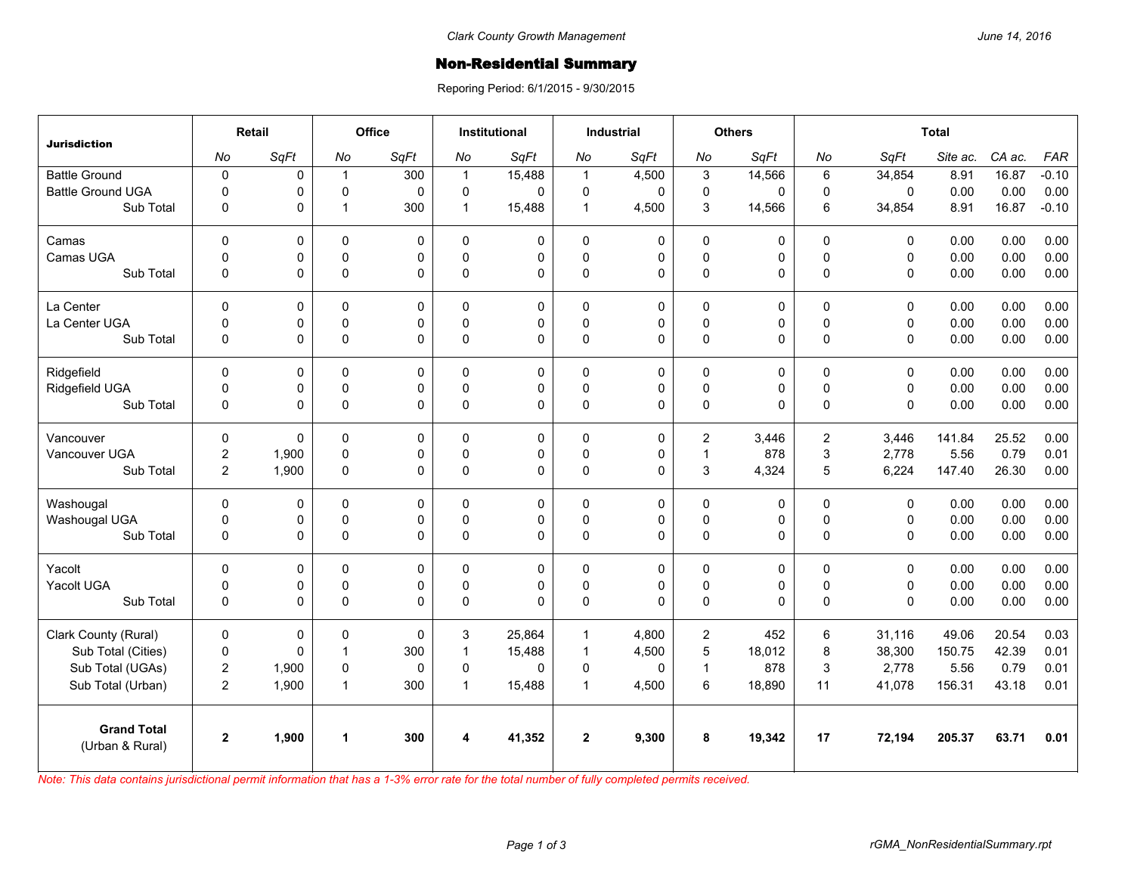## Non-Residential Summary

Reporing Period: 6/1/2015 - 9/30/2015

| <b>Jurisdiction</b>                   | Retail         |             | Office         |             | <b>Institutional</b> |             | <b>Industrial</b> |             | <b>Others</b>           |             | <b>Total</b> |             |          |        |            |
|---------------------------------------|----------------|-------------|----------------|-------------|----------------------|-------------|-------------------|-------------|-------------------------|-------------|--------------|-------------|----------|--------|------------|
|                                       | No             | SqFt        | No             | SqFt        | No                   | SqFt        | No                | SqFt        | No                      | SqFt        | No           | SqFt        | Site ac. | CA ac. | <b>FAR</b> |
| <b>Battle Ground</b>                  | $\pmb{0}$      | 0           | $\mathbf{1}$   | 300         | $\mathbf{1}$         | 15,488      | $\mathbf{1}$      | 4,500       | 3                       | 14,566      | 6            | 34,854      | 8.91     | 16.87  | $-0.10$    |
| <b>Battle Ground UGA</b>              | $\mathbf 0$    | 0           | $\pmb{0}$      | $\Omega$    | 0                    | 0           | 0                 | 0           | $\pmb{0}$               | $\Omega$    | 0            | 0           | 0.00     | 0.00   | 0.00       |
| Sub Total                             | $\mathbf 0$    | 0           | $\mathbf{1}$   | 300         | 1                    | 15,488      | $\mathbf{1}$      | 4,500       | 3                       | 14,566      | 6            | 34,854      | 8.91     | 16.87  | $-0.10$    |
| Camas                                 | $\mathbf 0$    | 0           | $\mathbf 0$    | $\mathbf 0$ | 0                    | 0           | $\mathbf 0$       | $\mathbf 0$ | $\mathbf 0$             | 0           | $\mathbf 0$  | $\mathbf 0$ | 0.00     | 0.00   | 0.00       |
| Camas UGA                             | $\mathbf 0$    | 0           | $\mathbf 0$    | $\mathbf 0$ | 0                    | 0           | $\pmb{0}$         | 0           | $\pmb{0}$               | 0           | $\mathsf 0$  | $\mathbf 0$ | 0.00     | 0.00   | 0.00       |
| Sub Total                             | $\mathbf 0$    | 0           | $\mathsf 0$    | 0           | 0                    | $\mathbf 0$ | $\mathbf 0$       | 0           | $\mathbf 0$             | 0           | $\mathbf 0$  | $\mathbf 0$ | 0.00     | 0.00   | 0.00       |
| La Center                             | $\mathbf 0$    | 0           | $\mathbf 0$    | $\mathbf 0$ | 0                    | $\mathbf 0$ | $\mathbf 0$       | $\mathbf 0$ | $\pmb{0}$               | $\mathbf 0$ | $\mathbf 0$  | $\mathbf 0$ | 0.00     | 0.00   | 0.00       |
| La Center UGA                         | $\mathbf 0$    | 0           | $\mathbf 0$    | $\mathbf 0$ | $\Omega$             | 0           | 0                 | 0           | $\mathbf 0$             | 0           | $\mathbf 0$  | $\mathbf 0$ | 0.00     | 0.00   | 0.00       |
| Sub Total                             | $\mathbf 0$    | 0           | $\mathsf 0$    | $\Omega$    | 0                    | 0           | $\pmb{0}$         | 0           | $\mathsf 0$             | 0           | $\Omega$     | $\Omega$    | 0.00     | 0.00   | 0.00       |
| Ridgefield                            | $\Omega$       | 0           | 0              | $\Omega$    | $\Omega$             | 0           | 0                 | 0           | 0                       | 0           | $\mathbf{0}$ | 0           | 0.00     | 0.00   | 0.00       |
| Ridgefield UGA                        | $\mathbf 0$    | 0           | $\mathbf 0$    | 0           | $\Omega$             | 0           | $\pmb{0}$         | 0           | $\mathbf 0$             | 0           | $\mathsf 0$  | $\mathbf 0$ | 0.00     | 0.00   | 0.00       |
| Sub Total                             | $\mathbf 0$    | 0           | $\mathbf 0$    | $\Omega$    | 0                    | $\Omega$    | $\mathbf 0$       | $\Omega$    | $\mathbf 0$             | 0           | $\mathbf{0}$ | $\Omega$    | 0.00     | 0.00   | 0.00       |
| Vancouver                             | $\mathbf 0$    | 0           | 0              | 0           | 0                    | 0           | 0                 | 0           | $\overline{2}$          | 3,446       | 2            | 3.446       | 141.84   | 25.52  | 0.00       |
| Vancouver UGA                         | $\mathbf 2$    | 1,900       | $\mathsf 0$    | 0           | $\Omega$             | 0           | 0                 | 0           | $\mathbf{1}$            | 878         | $\mathsf 3$  | 2,778       | 5.56     | 0.79   | 0.01       |
| Sub Total                             | $\overline{2}$ | 1,900       | $\mathbf 0$    | $\Omega$    | 0                    | $\Omega$    | $\mathbf 0$       | 0           | 3                       | 4,324       | 5            | 6,224       | 147.40   | 26.30  | 0.00       |
| Washougal                             | $\Omega$       | 0           | 0              | $\Omega$    | 0                    | 0           | $\Omega$          | 0           | 0                       | 0           | $\Omega$     | $\Omega$    | 0.00     | 0.00   | 0.00       |
| Washougal UGA                         | $\pmb{0}$      | 0           | $\pmb{0}$      | 0           | 0                    | 0           | $\mathsf 0$       | $\mathsf 0$ | $\pmb{0}$               | 0           | $\mathsf 0$  | $\mathbf 0$ | 0.00     | 0.00   | 0.00       |
| Sub Total                             | $\mathbf 0$    | 0           | $\mathsf 0$    | $\Omega$    | $\Omega$             | $\Omega$    | $\pmb{0}$         | $\Omega$    | $\mathsf 0$             | 0           | $\Omega$     | 0           | 0.00     | 0.00   | 0.00       |
| Yacolt                                | $\mathbf 0$    | $\mathbf 0$ | 0              | $\Omega$    | 0                    | 0           | $\mathbf 0$       | 0           | 0                       | 0           | $\mathbf 0$  | 0           | 0.00     | 0.00   | 0.00       |
| Yacolt UGA                            | $\mathbf 0$    | 0           | 0              | $\mathbf 0$ | 0                    | 0           | 0                 | 0           | $\pmb{0}$               | 0           | $\mathsf 0$  | $\mathbf 0$ | 0.00     | 0.00   | 0.00       |
| Sub Total                             | $\mathbf 0$    | 0           | $\mathbf 0$    | $\Omega$    | 0                    | $\Omega$    | $\mathbf 0$       | $\Omega$    | $\mathsf 0$             | 0           | $\Omega$     | $\Omega$    | 0.00     | 0.00   | 0.00       |
| Clark County (Rural)                  | $\mathbf 0$    | 0           | 0              | $\Omega$    | 3                    | 25,864      | $\mathbf{1}$      | 4,800       | $\overline{\mathbf{c}}$ | 452         | 6            | 31,116      | 49.06    | 20.54  | 0.03       |
| Sub Total (Cities)                    | $\pmb{0}$      | $\mathbf 0$ | $\overline{1}$ | 300         | 1                    | 15,488      | $\mathbf{1}$      | 4,500       | 5                       | 18,012      | 8            | 38,300      | 150.75   | 42.39  | 0.01       |
| Sub Total (UGAs)                      | $\overline{2}$ | 1,900       | $\pmb{0}$      | $\Omega$    | 0                    | $\Omega$    | 0                 | $\Omega$    | $\mathbf{1}$            | 878         | 3            | 2,778       | 5.56     | 0.79   | 0.01       |
| Sub Total (Urban)                     | 2              | 1,900       | $\overline{1}$ | 300         | $\mathbf 1$          | 15,488      | $\mathbf{1}$      | 4,500       | 6                       | 18,890      | 11           | 41,078      | 156.31   | 43.18  | 0.01       |
| <b>Grand Total</b><br>(Urban & Rural) | $\mathbf 2$    | 1,900       | 1              | 300         | 4                    | 41,352      | $\mathbf{2}$      | 9,300       | 8                       | 19,342      | 17           | 72,194      | 205.37   | 63.71  | 0.01       |

*Note: This data contains jurisdictional permit information that has a 1-3% error rate for the total number of fully completed permits received.*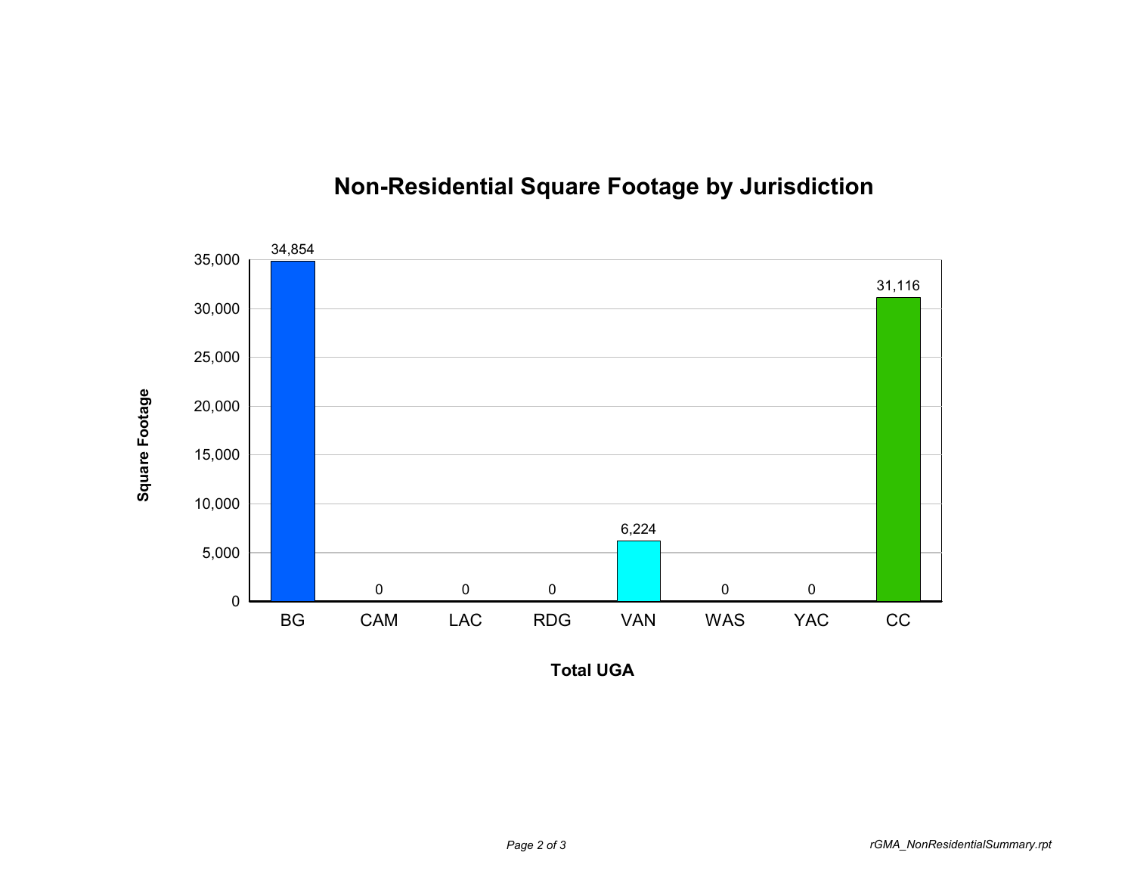

## **Non-Residential Square Footage by Jurisdiction**

**Total UGA**